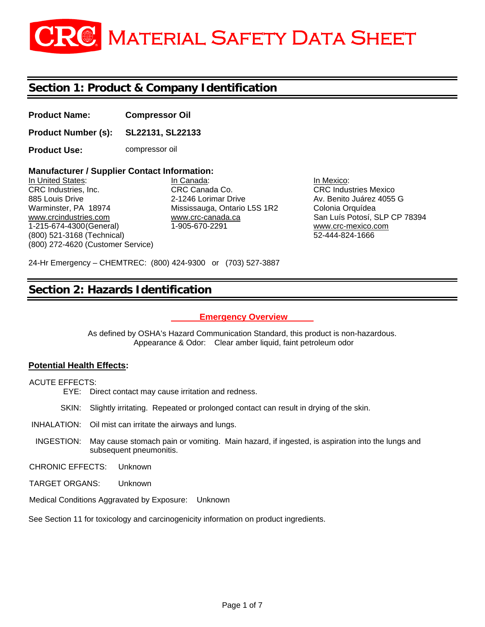# **GRG** MATERIAL SAFETY DATA SHEET

## **Section 1: Product & Company Identification**

**Product Name: Compressor Oil** 

**Product Number (s): SL22131, SL22133**

**Product Use: compressor oil** 

## **Manufacturer / Supplier Contact Information:**

In United States: In Canada: In Mexico: CRC Industries, Inc. CRC Canada Co. CRC Industries Mexico 885 Louis Drive **2-1246 Lorimar Drive** Av. Benito Juárez 4055 G Warminster, PA 18974 Mississauga, Ontario L5S 1R2 Colonia Orquídea www.crcindustries.com www.crc-canada.ca San Luís Potosí, SLP CP 78394 1-215-674-4300 (General) 1-905-670-2291 www.crc-mexico.com (800) 521-3168 (Technical) 52-444-824-1666 (800) 272-4620 (Customer Service)

24-Hr Emergency – CHEMTREC: (800) 424-9300 or (703) 527-3887

## **Section 2: Hazards Identification**

#### **Emergency Overview**

As defined by OSHA's Hazard Communication Standard, this product is non-hazardous. Appearance & Odor: Clear amber liquid, faint petroleum odor

#### **Potential Health Effects:**

ACUTE EFFECTS:

- EYE: Direct contact may cause irritation and redness.
- SKIN: Slightly irritating. Repeated or prolonged contact can result in drying of the skin.
- INHALATION: Oil mist can irritate the airways and lungs.
- INGESTION: May cause stomach pain or vomiting. Main hazard, if ingested, is aspiration into the lungs and subsequent pneumonitis.

CHRONIC EFFECTS: Unknown

- TARGET ORGANS: Unknown
- Medical Conditions Aggravated by Exposure: Unknown

See Section 11 for toxicology and carcinogenicity information on product ingredients.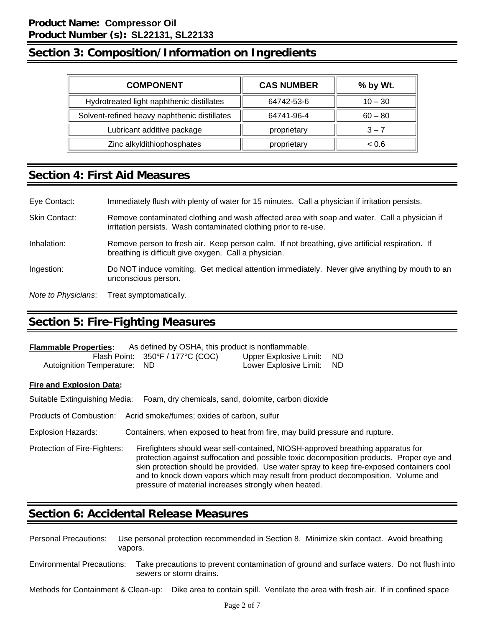## **Section 3: Composition/Information on Ingredients**

| <b>COMPONENT</b>                             | <b>CAS NUMBER</b> | % by Wt.  |
|----------------------------------------------|-------------------|-----------|
| Hydrotreated light naphthenic distillates    | 64742-53-6        | $10 - 30$ |
| Solvent-refined heavy naphthenic distillates | 64741-96-4        | $60 - 80$ |
| Lubricant additive package                   | proprietary       | $3 - 7$   |
| Zinc alkyldithiophosphates                   | proprietary       | ~< 0.6    |

## **Section 4: First Aid Measures**

| Eye Contact:        | Immediately flush with plenty of water for 15 minutes. Call a physician if irritation persists.                                                                  |
|---------------------|------------------------------------------------------------------------------------------------------------------------------------------------------------------|
| Skin Contact:       | Remove contaminated clothing and wash affected area with soap and water. Call a physician if<br>irritation persists. Wash contaminated clothing prior to re-use. |
| Inhalation:         | Remove person to fresh air. Keep person calm. If not breathing, give artificial respiration. If<br>breathing is difficult give oxygen. Call a physician.         |
| Ingestion:          | Do NOT induce vomiting. Get medical attention immediately. Never give anything by mouth to an<br>unconscious person.                                             |
| Note to Physicians: | Treat symptomatically.                                                                                                                                           |

## **Section 5: Fire-Fighting Measures**

| As defined by OSHA, this product is nonflammable.<br><b>Flammable Properties:</b> |                                                       |                           |  |  |  |
|-----------------------------------------------------------------------------------|-------------------------------------------------------|---------------------------|--|--|--|
|                                                                                   | Flash Point: $350^{\circ}$ F / 177 $^{\circ}$ C (COC) | Upper Explosive Limit: ND |  |  |  |
| Autoignition Temperature: ND                                                      |                                                       | Lower Explosive Limit: ND |  |  |  |

#### **Fire and Explosion Data:**

|                              | Suitable Extinguishing Media: Foam, dry chemicals, sand, dolomite, carbon dioxide                                                                                                                                                                                                                                                                                                                                   |
|------------------------------|---------------------------------------------------------------------------------------------------------------------------------------------------------------------------------------------------------------------------------------------------------------------------------------------------------------------------------------------------------------------------------------------------------------------|
| Products of Combustion:      | Acrid smoke/fumes; oxides of carbon, sulfur                                                                                                                                                                                                                                                                                                                                                                         |
| <b>Explosion Hazards:</b>    | Containers, when exposed to heat from fire, may build pressure and rupture.                                                                                                                                                                                                                                                                                                                                         |
| Protection of Fire-Fighters: | Firefighters should wear self-contained, NIOSH-approved breathing apparatus for<br>protection against suffocation and possible toxic decomposition products. Proper eye and<br>skin protection should be provided. Use water spray to keep fire-exposed containers cool<br>and to knock down vapors which may result from product decomposition. Volume and<br>pressure of material increases strongly when heated. |

## **Section 6: Accidental Release Measures**

| Personal Precautions:      | vapors. | Use personal protection recommended in Section 8. Minimize skin contact. Avoid breathing                                |
|----------------------------|---------|-------------------------------------------------------------------------------------------------------------------------|
| Environmental Precautions: |         | Take precautions to prevent contamination of ground and surface waters. Do not flush into<br>sewers or storm drains.    |
|                            |         | Methods for Containment & Clean-up: Dike area to contain spill. Ventilate the area with fresh air. If in confined space |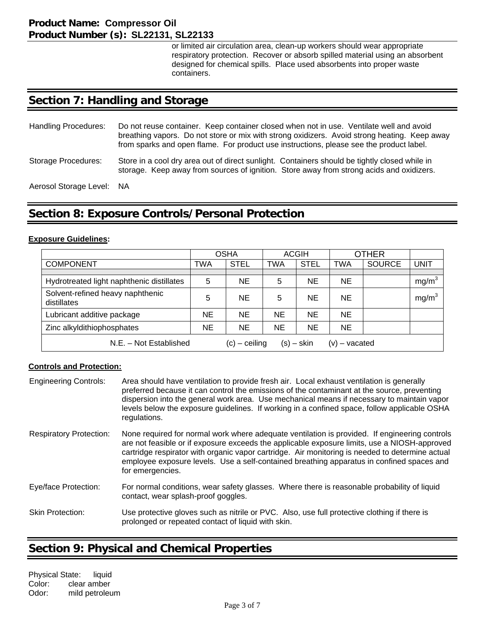or limited air circulation area, clean-up workers should wear appropriate respiratory protection. Recover or absorb spilled material using an absorbent designed for chemical spills. Place used absorbents into proper waste containers.

## **Section 7: Handling and Storage**

| <b>Handling Procedures:</b> | Do not reuse container. Keep container closed when not in use. Ventilate well and avoid<br>breathing vapors. Do not store or mix with strong oxidizers. Avoid strong heating. Keep away<br>from sparks and open flame. For product use instructions, please see the product label. |  |  |  |
|-----------------------------|------------------------------------------------------------------------------------------------------------------------------------------------------------------------------------------------------------------------------------------------------------------------------------|--|--|--|
| Storage Procedures:         | Store in a cool dry area out of direct sunlight. Containers should be tightly closed while in<br>storage. Keep away from sources of ignition. Store away from strong acids and oxidizers.                                                                                          |  |  |  |
| Aerosol Storage Level: NA   |                                                                                                                                                                                                                                                                                    |  |  |  |

**Section 8: Exposure Controls/Personal Protection** 

#### **Exposure Guidelines:**

|                                                                              | <b>OSHA</b> |             | <b>ACGIH</b> |             | <b>OTHER</b> |               |                   |
|------------------------------------------------------------------------------|-------------|-------------|--------------|-------------|--------------|---------------|-------------------|
| <b>COMPONENT</b>                                                             | TWA         | <b>STEL</b> | <b>TWA</b>   | <b>STEL</b> | <b>TWA</b>   | <b>SOURCE</b> | UNIT              |
|                                                                              |             |             |              |             |              |               |                   |
| Hydrotreated light naphthenic distillates                                    | 5           | <b>NE</b>   | 5            | <b>NE</b>   | <b>NE</b>    |               | mg/m <sup>3</sup> |
| Solvent-refined heavy naphthenic<br>distillates                              | 5           | <b>NE</b>   | 5            | NE          | <b>NE</b>    |               | mg/m <sup>3</sup> |
| Lubricant additive package                                                   | NE          | <b>NE</b>   | <b>NE</b>    | NE          | <b>NE</b>    |               |                   |
| Zinc alkyldithiophosphates                                                   | ΝE          | <b>NE</b>   | <b>NE</b>    | <b>NE</b>   | <b>NE</b>    |               |                   |
| N.E. - Not Established<br>$(s) -$ skin<br>$(c)$ – ceiling<br>$(v)$ – vacated |             |             |              |             |              |               |                   |

#### **Controls and Protection:**

| <b>Engineering Controls:</b>   | Area should have ventilation to provide fresh air. Local exhaust ventilation is generally<br>preferred because it can control the emissions of the contaminant at the source, preventing<br>dispersion into the general work area. Use mechanical means if necessary to maintain vapor<br>levels below the exposure guidelines. If working in a confined space, follow applicable OSHA<br>regulations.            |
|--------------------------------|-------------------------------------------------------------------------------------------------------------------------------------------------------------------------------------------------------------------------------------------------------------------------------------------------------------------------------------------------------------------------------------------------------------------|
| <b>Respiratory Protection:</b> | None required for normal work where adequate ventilation is provided. If engineering controls<br>are not feasible or if exposure exceeds the applicable exposure limits, use a NIOSH-approved<br>cartridge respirator with organic vapor cartridge. Air monitoring is needed to determine actual<br>employee exposure levels. Use a self-contained breathing apparatus in confined spaces and<br>for emergencies. |
| Eye/face Protection:           | For normal conditions, wear safety glasses. Where there is reasonable probability of liquid<br>contact, wear splash-proof goggles.                                                                                                                                                                                                                                                                                |
| <b>Skin Protection:</b>        | Use protective gloves such as nitrile or PVC. Also, use full protective clothing if there is<br>prolonged or repeated contact of liquid with skin.                                                                                                                                                                                                                                                                |

## **Section 9: Physical and Chemical Properties**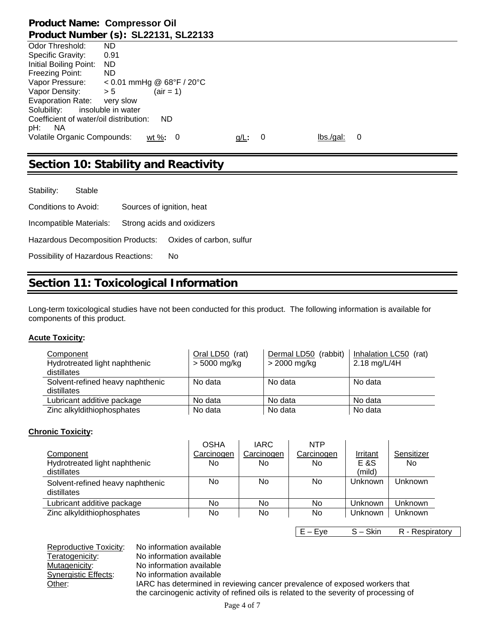|                                        | Product Number (S): SLZZT3T, SLZZT33 |         |    |          |   |
|----------------------------------------|--------------------------------------|---------|----|----------|---|
| Odor Threshold:                        | ND.                                  |         |    |          |   |
| Specific Gravity:                      | 0.91                                 |         |    |          |   |
| Initial Boiling Point:                 | ND.                                  |         |    |          |   |
| Freezing Point:                        | ND.                                  |         |    |          |   |
| Vapor Pressure:                        | $< 0.01$ mmHg @ 68°F / 20°C          |         |    |          |   |
| Vapor Density:                         | $(air = 1)$<br>> 5                   |         |    |          |   |
| Evaporation Rate:                      | very slow                            |         |    |          |   |
| Solubility:                            | insoluble in water                   |         |    |          |   |
| Coefficient of water/oil distribution: | <b>ND</b>                            |         |    |          |   |
| pH:<br>NA.                             |                                      |         |    |          |   |
| Volatile Organic Compounds:            | wt %: $0$                            | $q/L$ : | -0 | lbs/gal: | 0 |
|                                        |                                      |         |    |          |   |

## **Section 10: Stability and Reactivity**

Stability: Stable Conditions to Avoid: Sources of ignition, heat Incompatible Materials: Strong acids and oxidizers Hazardous Decomposition Products: Oxides of carbon, sulfur Possibility of Hazardous Reactions: No

## **Section 11: Toxicological Information**

Long-term toxicological studies have not been conducted for this product. The following information is available for components of this product.

#### **Acute Toxicity:**

| Component                        | Oral LD50 (rat) | Dermal LD50 (rabbit) | Inhalation LC50<br>(rat) |
|----------------------------------|-----------------|----------------------|--------------------------|
| Hydrotreated light naphthenic    | $> 5000$ mg/kg  | > 2000 mg/kg         | 2.18 mg/L/4H             |
| distillates                      |                 |                      |                          |
| Solvent-refined heavy naphthenic | No data         | No data              | No data                  |
| distillates                      |                 |                      |                          |
| Lubricant additive package       | No data         | No data              | No data                  |
| Zinc alkyldithiophosphates       | No data         | No data              | No data                  |

#### **Chronic Toxicity:**

|                                  | <b>OSHA</b> | <b>IARC</b> | <b>NTP</b> |                |            |
|----------------------------------|-------------|-------------|------------|----------------|------------|
| Component                        | Carcinogen  | Carcinogen  | Carcinogen | Irritant       | Sensitizer |
| Hydrotreated light naphthenic    | No.         | No          | No         | E &S           | No.        |
| distillates                      |             |             |            | (mild)         |            |
| Solvent-refined heavy naphthenic | No          | No          | No         | Unknown        | Unknown    |
| distillates                      |             |             |            |                |            |
| Lubricant additive package       | No          | No          | No         | <b>Unknown</b> | Unknown    |
| Zinc alkyldithiophosphates       | No          | No          | No         | Unknown        | Unknown    |
|                                  |             |             |            |                |            |

E – Eye S – Skin R - Respiratory

Reproductive Toxicity: No information available Teratogenicity: No information available Mutagenicity: No information available Synergistic Effects: No information available Other: IARC has determined in reviewing cancer prevalence of exposed workers that the carcinogenic activity of refined oils is related to the severity of processing of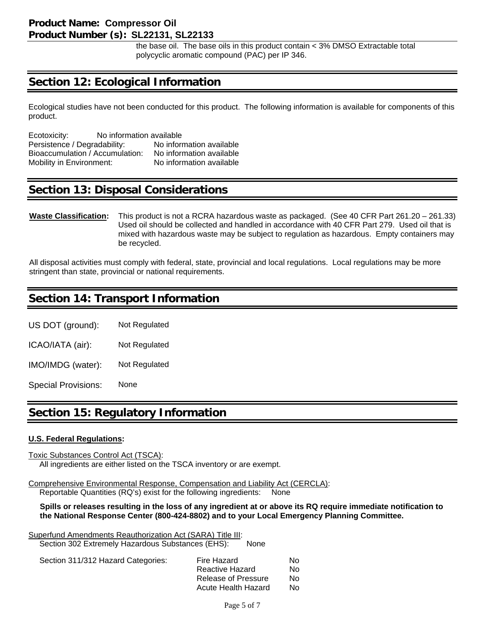the base oil. The base oils in this product contain < 3% DMSO Extractable total polycyclic aromatic compound (PAC) per IP 346.

## **Section 12: Ecological Information**

Ecological studies have not been conducted for this product. The following information is available for components of this product.

| Ecotoxicity:                    | No information available |                          |  |
|---------------------------------|--------------------------|--------------------------|--|
| Persistence / Degradability:    |                          | No information available |  |
| Bioaccumulation / Accumulation: |                          | No information available |  |
| Mobility in Environment:        |                          | No information available |  |

## **Section 13: Disposal Considerations**

#### **Waste Classification:** This product is not a RCRA hazardous waste as packaged. (See 40 CFR Part 261.20 – 261.33) Used oil should be collected and handled in accordance with 40 CFR Part 279. Used oil that is mixed with hazardous waste may be subject to regulation as hazardous. Empty containers may be recycled.

All disposal activities must comply with federal, state, provincial and local regulations. Local regulations may be more stringent than state, provincial or national requirements.

## **Section 14: Transport Information**

US DOT (ground): Not Regulated

ICAO/IATA (air): Not Regulated

IMO/IMDG (water): Not Regulated

Special Provisions: None

## **Section 15: Regulatory Information**

#### **U.S. Federal Regulations:**

Toxic Substances Control Act (TSCA): All ingredients are either listed on the TSCA inventory or are exempt.

Comprehensive Environmental Response, Compensation and Liability Act (CERCLA): Reportable Quantities (RQ's) exist for the following ingredients: None

 **Spills or releases resulting in the loss of any ingredient at or above its RQ require immediate notification to the National Response Center (800-424-8802) and to your Local Emergency Planning Committee.** 

Superfund Amendments Reauthorization Act (SARA) Title III: Section 302 Extremely Hazardous Substances (EHS): None

| Section 311/312 Hazard Categories: | Fire Hazard         | No. |
|------------------------------------|---------------------|-----|
|                                    | Reactive Hazard     | No. |
|                                    | Release of Pressure | No. |
|                                    | Acute Health Hazard | No. |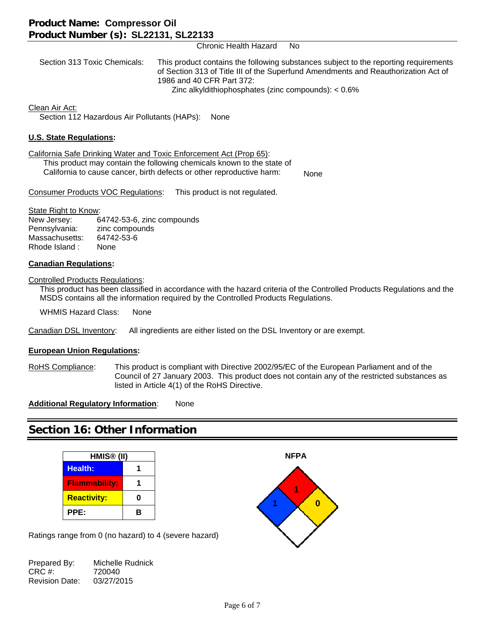Chronic Health Hazard No

 Section 313 Toxic Chemicals: This product contains the following substances subject to the reporting requirements of Section 313 of Title III of the Superfund Amendments and Reauthorization Act of 1986 and 40 CFR Part 372: Zinc alkyldithiophosphates (zinc compounds): < 0.6%

Clean Air Act:

Section 112 Hazardous Air Pollutants (HAPs): None

#### **U.S. State Regulations:**

California Safe Drinking Water and Toxic Enforcement Act (Prop 65):

 This product may contain the following chemicals known to the state of California to cause cancer, birth defects or other reproductive harm:

None

Consumer Products VOC Regulations: This product is not regulated.

#### State Right to Know:

| New Jersey:    | 64742-53-6, zinc compounds |
|----------------|----------------------------|
| Pennsylvania:  | zinc compounds             |
| Massachusetts: | 64742-53-6                 |
| Rhode Island:  | None                       |

#### **Canadian Regulations:**

Controlled Products Regulations:

 This product has been classified in accordance with the hazard criteria of the Controlled Products Regulations and the MSDS contains all the information required by the Controlled Products Regulations.

WHMIS Hazard Class: None

Canadian DSL Inventory: All ingredients are either listed on the DSL Inventory or are exempt.

#### **European Union Regulations:**

RoHS Compliance: This product is compliant with Directive 2002/95/EC of the European Parliament and of the Council of 27 January 2003. This product does not contain any of the restricted substances as listed in Article 4(1) of the RoHS Directive.

**Additional Regulatory Information:** None

## **Section 16: Other Information**

| HMIS <sup>®</sup> (II) |   |  |
|------------------------|---|--|
| <b>Health:</b>         |   |  |
| <b>Flammability:</b>   |   |  |
| <b>Reactivity:</b>     | 0 |  |
| PPE:                   | R |  |

Ratings range from 0 (no hazard) to 4 (severe hazard)

Prepared By: Michelle Rudnick<br>CRC #: 720040 720040 Revision Date: 03/27/2015